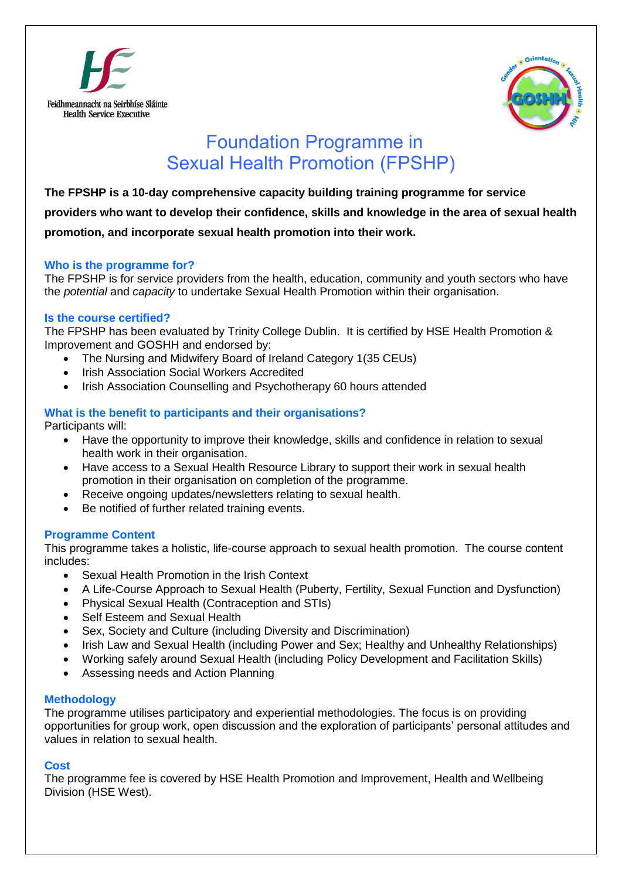



# Foundation Programme in Sexual Health Promotion (FPSHP)

**The FPSHP is a 10-day comprehensive capacity building training programme for service** 

**providers who want to develop their confidence, skills and knowledge in the area of sexual health** 

# **promotion, and incorporate sexual health promotion into their work.**

# **Who is the programme for?**

The FPSHP is for service providers from the health, education, community and youth sectors who have the *potential* and *capacity* to undertake Sexual Health Promotion within their organisation.

# **Is the course certified?**

The FPSHP has been evaluated by Trinity College Dublin. It is certified by HSE Health Promotion & Improvement and GOSHH and endorsed by:

- The Nursing and Midwifery Board of Ireland Category 1(35 CEUs)
- Irish Association Social Workers Accredited
- Irish Association Counselling and Psychotherapy 60 hours attended

# **What is the benefit to participants and their organisations?**

Participants will:

- Have the opportunity to improve their knowledge, skills and confidence in relation to sexual health work in their organisation.
- Have access to a Sexual Health Resource Library to support their work in sexual health promotion in their organisation on completion of the programme.
- Receive ongoing updates/newsletters relating to sexual health.
- Be notified of further related training events.

# **Programme Content**

This programme takes a holistic, life-course approach to sexual health promotion. The course content includes:

- Sexual Health Promotion in the Irish Context
- A Life-Course Approach to Sexual Health (Puberty, Fertility, Sexual Function and Dysfunction)
- Physical Sexual Health (Contraception and STIs)
- Self Esteem and Sexual Health
- Sex, Society and Culture (including Diversity and Discrimination)
- Irish Law and Sexual Health (including Power and Sex; Healthy and Unhealthy Relationships)
- Working safely around Sexual Health (including Policy Development and Facilitation Skills)
- Assessing needs and Action Planning

# **Methodology**

The programme utilises participatory and experiential methodologies. The focus is on providing opportunities for group work, open discussion and the exploration of participants' personal attitudes and values in relation to sexual health.

# **Cost**

The programme fee is covered by HSE Health Promotion and Improvement, Health and Wellbeing Division (HSE West).